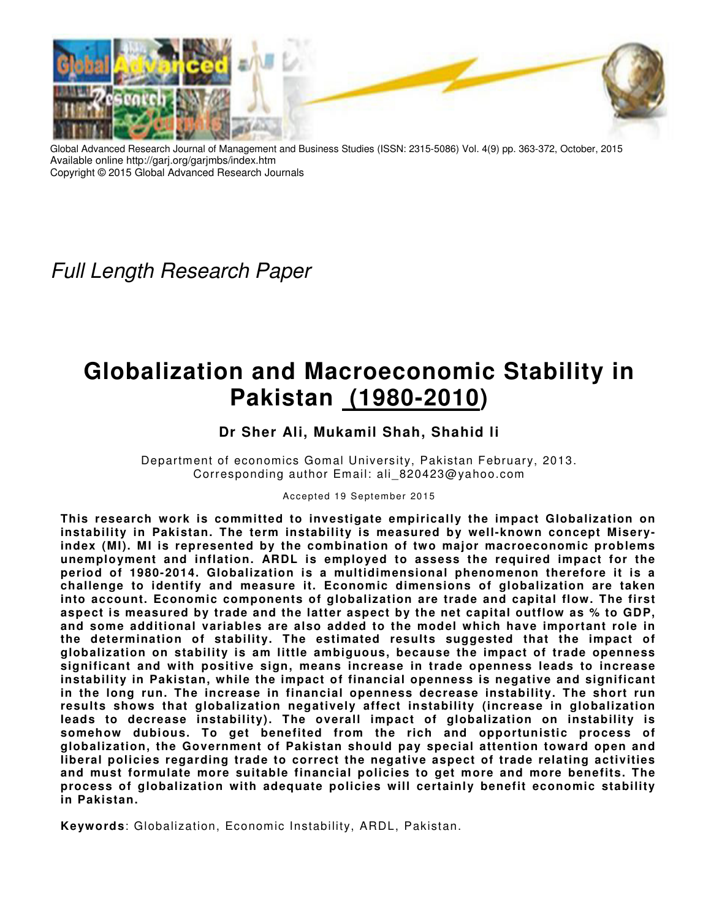

Global Advanced Research Journal of Management and Business Studies (ISSN: 2315-5086) Vol. 4(9) pp. 363-372, October, 2015 Available online http://garj.org/garjmbs/index.htm Copyright © 2015 Global Advanced Research Journals

*Full Length Research Paper*

# **Globalization and Macroeconomic Stability in Pakistan (1980-2010)**

## **Dr Sher Ali, Mukamil Shah, Shahid li**

Department of economics Gomal University, Pakistan February, 2013. Corresponding author Email: ali\_820423@yahoo.com

Accepted 19 September 2015

**This research work is committed to investigate empirically the impact Globalization on instability in Pakistan. The term instability is measured by well-known concept Miseryindex (MI). MI is represented by the combination of two major macroeconomic problems unemployment and inflation. ARDL is employed to assess the required impact for the period of 1980-2014. Globalization is a multidimensional phenomenon therefore it is a challenge to identify and measure it. Economic dimensions of globalization are taken into account. Economic components of globalization are trade and capital flow. The first aspect is measured by trade and the latter aspect by the net capital outflow as % to GDP, and some additional variables are also added to the model which have important role in the determination of stability. The estimated results suggested that the impact of globalization on stability is am little ambiguous, because the impact of trade openness significant and with positive sign, means increase in trade openness leads to increase instability in Pakistan, while the impact of financial openness is negative and significant in the long run. The increase in financial openness decrease instability. The short run results shows that globalization negatively affect instability (increase in globalization leads to decrease instability). The overall impact of globalization on instability is somehow dubious. To get benefited from the rich and opportunistic process of globalization, the Government of Pakistan should pay special attention toward open and liberal policies regarding trade to correct the negative aspect of trade relating activities and must formulate more suitable financial policies to get more and more benefits. The process of globalization with adequate policies will certainly benefit economic stability in Pakistan.** 

**Keywords**: Globalization, Economic Instability, ARDL, Pakistan.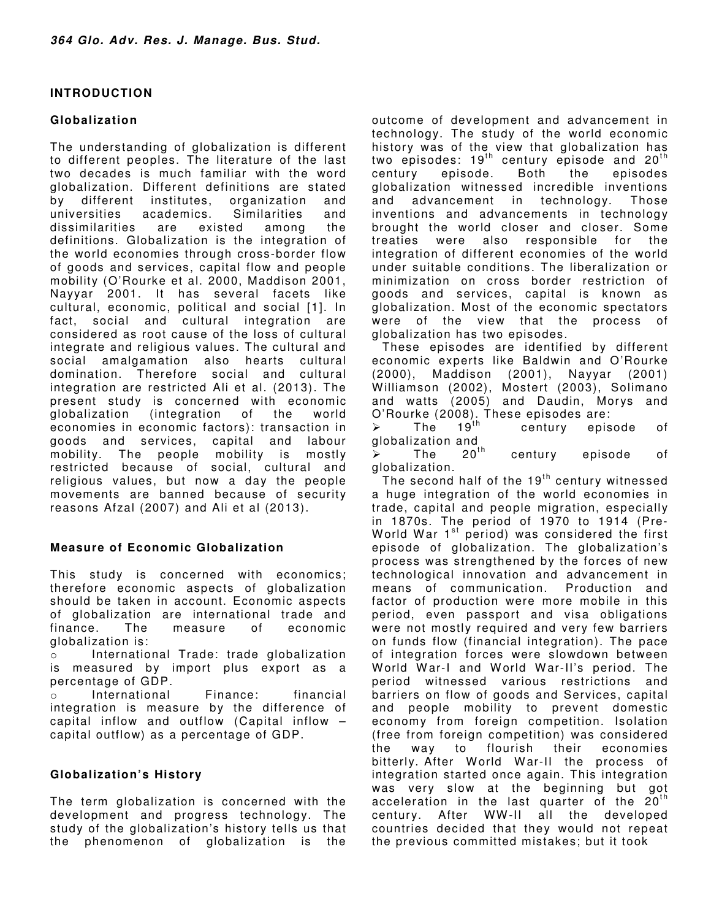## **INTRODUCTION**

## **Globalization**

The understanding of globalization is different to different peoples. The literature of the last two decades is much familiar with the word globalization. Different definitions are stated by different institutes, organization and universities academics. Similarities and dissimilarities are existed among the definitions. Globalization is the integration of the world economies through cross-border flow of goods and services, capital flow and people mobility (O'Rourke et al. 2000, Maddison 2001, Nayyar 2001. It has several facets like cultural, economic, political and social [1]. In fact, social and cultural integration are considered as root cause of the loss of cultural integrate and religious values. The cultural and social amalgamation also hearts cultural domination. Therefore social and cultural integration are restricted Ali et al. (2013). The present study is concerned with economic globalization (integration of the world economies in economic factors): transaction in goods and services, capital and labour mobility. The people mobility is mostly restricted because of social, cultural and religious values, but now a day the people movements are banned because of security reasons Afzal (2007) and Ali et al (2013).

## **Measure of Economic Globalization**

This study is concerned with economics; therefore economic aspects of globalization should be taken in account. Economic aspects of globalization are international trade and finance. The measure of economic globalization is:

o International Trade: trade globalization is measured by import plus export as a percentage of GDP.

o International Finance: financial integration is measure by the difference of capital inflow and outflow (Capital inflow – capital outflow) as a percentage of GDP.

## **Globalization's History**

The term globalization is concerned with the development and progress technology. The study of the globalization's history tells us that the phenomenon of globalization is the outcome of development and advancement in technology. The study of the world economic history was of the view that globalization has two episodes:  $19<sup>th</sup>$  century episode and  $20<sup>th</sup>$ century episode. Both the episodes globalization witnessed incredible inventions<br>and advancement in technology. Those and advancement in technology. Those inventions and advancements in technology brought the world closer and closer. Some treaties were also responsible for the integration of different economies of the world under suitable conditions. The liberalization or minimization on cross border restriction of goods and services, capital is known as globalization. Most of the economic spectators were of the view that the process of globalization has two episodes.

These episodes are identified by different economic experts like Baldwin and O'Rourke (2000), Maddison (2001), Nayyar (2001) W illiamson (2002), Mostert (2003), Solimano and watts (2005) and Daudin, Morys and O'Rourke (2008). These episodes are:<br>  $\geq$  The 19<sup>th</sup> century episode

century episode of globalization and

The  $20<sup>th</sup>$  century episode of globalization.

The second half of the  $19<sup>th</sup>$  century witnessed a huge integration of the world economies in trade, capital and people migration, especially in 1870s. The period of 1970 to 1914 (Pre-World War  $1<sup>st</sup>$  period) was considered the first episode of globalization. The globalization's process was strengthened by the forces of new technological innovation and advancement in means of communication. Production and factor of production were more mobile in this period, even passport and visa obligations were not mostly required and very few barriers on funds flow (financial integration). The pace of integration forces were slowdown between World War-I and World War-II's period. The period witnessed various restrictions and barriers on flow of goods and Services, capital and people mobility to prevent domestic economy from foreign competition. Isolation (free from foreign competition) was considered the way to flourish their economies bitterly. After World War-II the process of integration started once again. This integration was very slow at the beginning but got acceleration in the last quarter of the  $20<sup>th</sup>$ century. After WW -II all the developed countries decided that they would not repeat the previous committed mistakes; but it took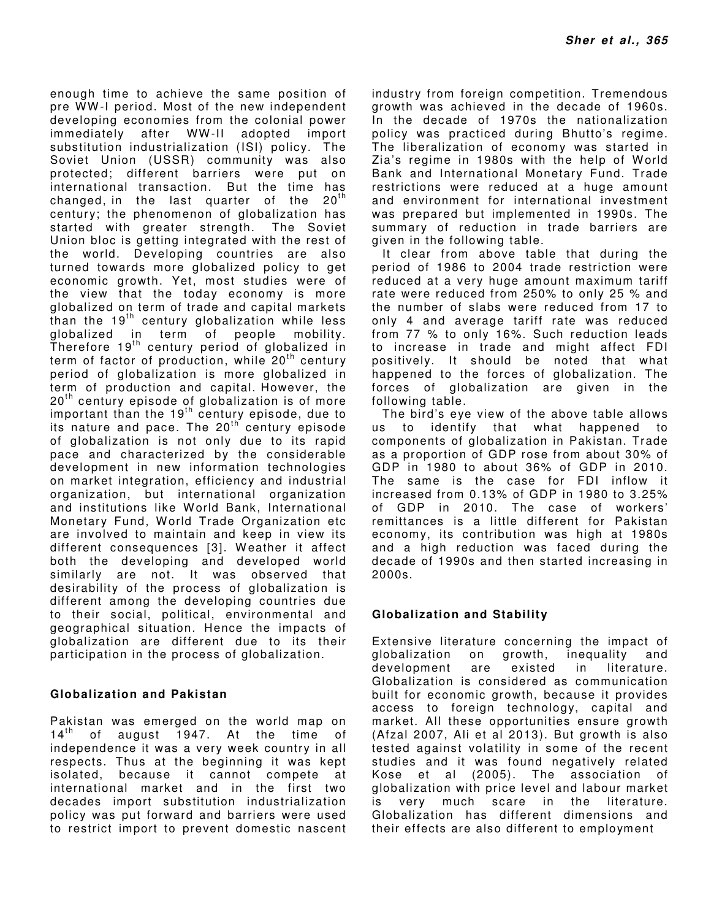enough time to achieve the same position of pre WW -I period. Most of the new independent developing economies from the colonial power immediately after WW-II adopted import substitution industrialization (ISI) policy. The Soviet Union (USSR) community was also protected; different barriers were put on international transaction. But the time has changed, in the last quarter of the  $20<sup>th</sup>$ century; the phenomenon of globalization has started with greater strength. The Soviet Union bloc is getting integrated with the rest of the world. Developing countries are also turned towards more globalized policy to get economic growth. Yet, most studies were of the view that the today economy is more globalized on term of trade and capital markets than the  $19<sup>th</sup>$  century globalization while less globalized in term of people mobility. Therefore  $19<sup>th</sup>$  century period of globalized in term of factor of production, while  $20<sup>th</sup>$  century period of globalization is more globalized in term of production and capital. However, the  $20<sup>th</sup>$  century episode of globalization is of more important than the  $19<sup>th</sup>$  century episode, due to its nature and pace. The  $20<sup>th</sup>$  century episode of globalization is not only due to its rapid pace and characterized by the considerable development in new information technologies on market integration, efficiency and industrial organization, but international organization and institutions like World Bank, International Monetary Fund, W orld Trade Organization etc are involved to maintain and keep in view its different consequences [3]. W eather it affect both the developing and developed world similarly are not. It was observed that desirability of the process of globalization is different among the developing countries due to their social, political, environmental and geographical situation. Hence the impacts of globalization are different due to its their participation in the process of globalization.

## **Globalization and Pakistan**

Pakistan was emerged on the world map on  $14<sup>th</sup>$  of august 1947. At the time of independence it was a very week country in all respects. Thus at the beginning it was kept isolated, because it cannot compete at international market and in the first two decades import substitution industrialization policy was put forward and barriers were used to restrict import to prevent domestic nascent industry from foreign competition. Tremendous growth was achieved in the decade of 1960s. In the decade of 1970s the nationalization policy was practiced during Bhutto's regime. The liberalization of economy was started in Zia's regime in 1980s with the help of World Bank and International Monetary Fund. Trade restrictions were reduced at a huge amount and environment for international investment was prepared but implemented in 1990s. The summary of reduction in trade barriers are given in the following table.

It clear from above table that during the period of 1986 to 2004 trade restriction were reduced at a very huge amount maximum tariff rate were reduced from 250% to only 25 % and the number of slabs were reduced from 17 to only 4 and average tariff rate was reduced from 77 % to only 16%. Such reduction leads to increase in trade and might affect FDI positively. It should be noted that what happened to the forces of globalization. The forces of globalization are given in the following table.

The bird's eye view of the above table allows us to identify that what happened to components of globalization in Pakistan. Trade as a proportion of GDP rose from about 30% of GDP in 1980 to about 36% of GDP in 2010. The same is the case for FDI inflow it increased from 0.13% of GDP in 1980 to 3.25% of GDP in 2010. The case of workers' remittances is a little different for Pakistan economy, its contribution was high at 1980s and a high reduction was faced during the decade of 1990s and then started increasing in 2000s.

## **Globalization and Stability**

Extensive literature concerning the impact of globalization on growth, inequality and development are existed in literature. Globalization is considered as communication built for economic growth, because it provides access to foreign technology, capital and market. All these opportunities ensure growth (Afzal 2007, Ali et al 2013). But growth is also tested against volatility in some of the recent studies and it was found negatively related Kose et al (2005). The association of globalization with price level and labour market is very much scare in the literature. Globalization has different dimensions and their effects are also different to employment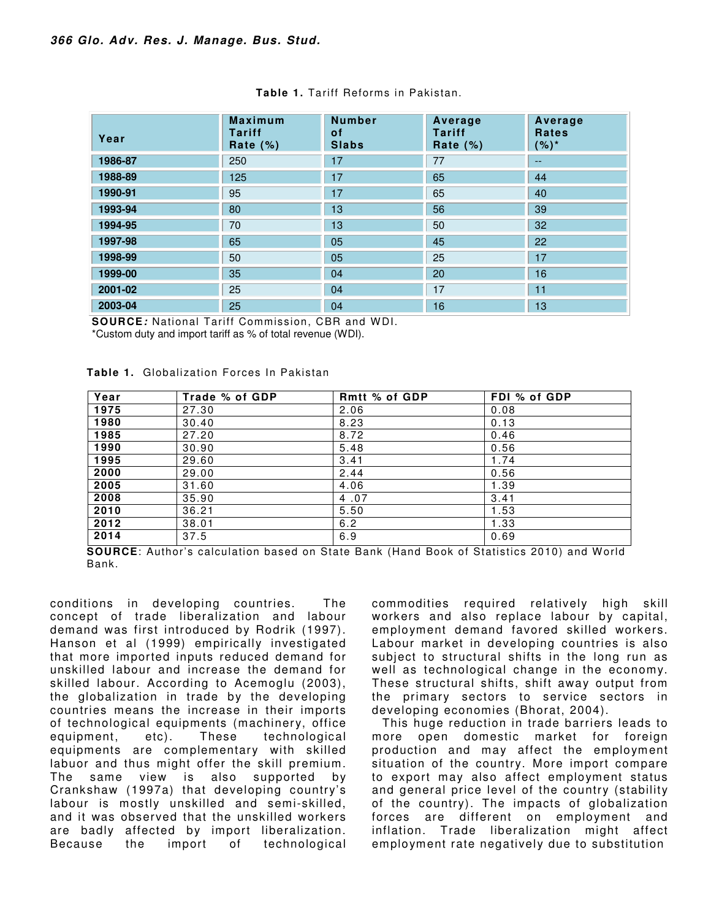| Year    | <b>Maximum</b><br><b>Tariff</b><br>Rate $(\%)$ | <b>Number</b><br>0f<br><b>Slabs</b> | Average<br><b>Tariff</b><br>Rate $(\%)$ | Average<br><b>Rates</b><br>$(%)^*$ |
|---------|------------------------------------------------|-------------------------------------|-----------------------------------------|------------------------------------|
| 1986-87 | 250                                            | 17                                  | 77                                      | $-$                                |
| 1988-89 | 125                                            | 17                                  | 65                                      | 44                                 |
| 1990-91 | 95                                             | 17                                  | 65                                      | 40                                 |
| 1993-94 | 80                                             | 13                                  | 56                                      | 39                                 |
| 1994-95 | 70                                             | 13                                  | 50                                      | 32                                 |
| 1997-98 | 65                                             | 05                                  | 45                                      | 22                                 |
| 1998-99 | 50                                             | 05                                  | 25                                      | 17                                 |
| 1999-00 | 35                                             | 04                                  | 20                                      | 16                                 |
| 2001-02 | 25                                             | 04                                  | 17                                      | 11                                 |
| 2003-04 | 25                                             | 04                                  | 16                                      | 13                                 |

|  |  |  |  | Table 1. Tariff Reforms in Pakistan. |
|--|--|--|--|--------------------------------------|
|--|--|--|--|--------------------------------------|

**SOURCE***:* National Tariff Commission, CBR and W DI. \*Custom duty and import tariff as % of total revenue (WDI).

| Year | Trade % of GDP | <b>Rmtt % of GDP</b> | FDI % of GDP |
|------|----------------|----------------------|--------------|
| 1975 | 27.30          | 2.06                 | 0.08         |
| 1980 | 30.40          | 8.23                 | 0.13         |
| 1985 | 27.20          | 8.72                 | 0.46         |
| 1990 | 30.90          | 5.48                 | 0.56         |
| 1995 | 29.60          | 3.41                 | 1.74         |
| 2000 | 29.00          | 2.44                 | 0.56         |
| 2005 | 31.60          | 4.06                 | 1.39         |
| 2008 | 35.90          | 4.07                 | 3.41         |
| 2010 | 36.21          | 5.50                 | 1.53         |
| 2012 | 38.01          | 6.2                  | 1.33         |
| 2014 | 37.5           | 6.9                  | 0.69         |

**Table 1.** Globalization Forces In Pakistan

**SOURCE:** Author's calculation based on State Bank (Hand Book of Statistics 2010) and World Bank.

conditions in developing countries. The concept of trade liberalization and labour demand was first introduced by Rodrik (1997). Hanson et al (1999) empirically investigated that more imported inputs reduced demand for unskilled labour and increase the demand for skilled labour. According to Acemoglu (2003), the globalization in trade by the developing countries means the increase in their imports of technological equipments (machinery, office equipment, etc). These technological equipments are complementary with skilled labuor and thus might offer the skill premium. The same view is also supported by Crankshaw (1997a) that developing country's labour is mostly unskilled and semi-skilled, and it was observed that the unskilled workers are badly affected by import liberalization. Because the import of technological commodities required relatively high skill workers and also replace labour by capital, employment demand favored skilled workers. Labour market in developing countries is also subject to structural shifts in the long run as well as technological change in the economy. These structural shifts, shift away output from the primary sectors to service sectors in developing economies (Bhorat, 2004).

This huge reduction in trade barriers leads to more open domestic market for foreign production and may affect the employment situation of the country. More import compare to export may also affect employment status and general price level of the country (stability of the country). The impacts of globalization forces are different on employment and inflation. Trade liberalization might affect employment rate negatively due to substitution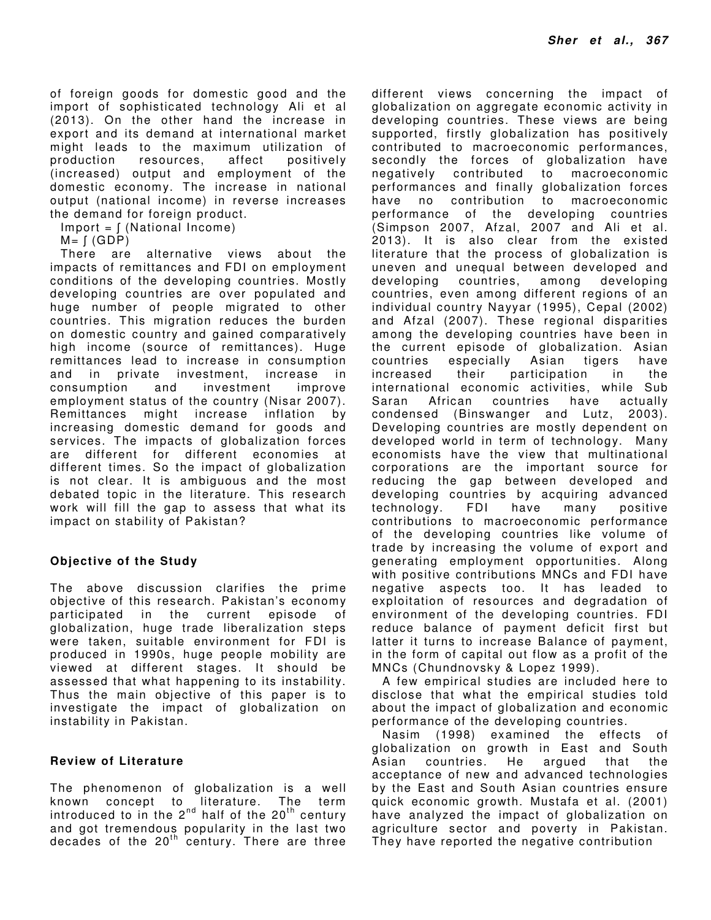of foreign goods for domestic good and the import of sophisticated technology Ali et al (2013). On the other hand the increase in export and its demand at international market might leads to the maximum utilization of production resources, affect positively (increased) output and employment of the domestic economy. The increase in national output (national income) in reverse increases the demand for foreign product.

 $Import = \int (National Income)$ 

 $M = \int (GDP)$ 

There are alternative views about the impacts of remittances and FDI on employment conditions of the developing countries. Mostly developing countries are over populated and huge number of people migrated to other countries. This migration reduces the burden on domestic country and gained comparatively high income (source of remittances). Huge remittances lead to increase in consumption and in private investment, increase in consumption and investment improve employment status of the country (Nisar 2007). Remittances might increase inflation by increasing domestic demand for goods and services. The impacts of globalization forces are different for different economies at different times. So the impact of globalization is not clear. It is ambiguous and the most debated topic in the literature. This research work will fill the gap to assess that what its impact on stability of Pakistan?

## **Objective of the Study**

The above discussion clarifies the prime objective of this research. Pakistan's economy participated in the current episode of globalization, huge trade liberalization steps were taken, suitable environment for FDI is produced in 1990s, huge people mobility are viewed at different stages. It should be assessed that what happening to its instability. Thus the main objective of this paper is to investigate the impact of globalization on instability in Pakistan.

#### **Review of Literature**

The phenomenon of globalization is a well known concept to literature. The term introduced to in the 2 $^{\sf{nd}}$  half of the 20 $^{\sf{th}}$  century and got tremendous popularity in the last two decades of the 20<sup>th</sup> century. There are three different views concerning the impact of globalization on aggregate economic activity in developing countries. These views are being supported, firstly globalization has positively contributed to macroeconomic performances, secondly the forces of globalization have negatively contributed to macroeconomic performances and finally globalization forces have no contribution to macroeconomic performance of the developing countries (Simpson 2007, Afzal, 2007 and Ali et al. 2013). It is also clear from the existed literature that the process of globalization is uneven and unequal between developed and developing countries, among developing countries, even among different regions of an individual country Nayyar (1995), Cepal (2002) and Afzal (2007). These regional disparities among the developing countries have been in the current episode of globalization. Asian countries especially Asian tigers have increased their participation in the international economic activities, while Sub Saran African countries have actually condensed (Binswanger and Lutz, 2003). Developing countries are mostly dependent on developed world in term of technology. Many economists have the view that multinational corporations are the important source for reducing the gap between developed and developing countries by acquiring advanced technology. FDI have many positive contributions to macroeconomic performance of the developing countries like volume of trade by increasing the volume of export and generating employment opportunities. Along with positive contributions MNCs and FDI have negative aspects too. It has leaded to exploitation of resources and degradation of environment of the developing countries. FDI reduce balance of payment deficit first but latter it turns to increase Balance of payment, in the form of capital out flow as a profit of the MNCs (Chundnovsky & Lopez 1999).

A few empirical studies are included here to disclose that what the empirical studies told about the impact of globalization and economic performance of the developing countries.

Nasim (1998) examined the effects of globalization on growth in East and South Asian countries. He argued that the acceptance of new and advanced technologies by the East and South Asian countries ensure quick economic growth. Mustafa et al. (2001) have analyzed the impact of globalization on agriculture sector and poverty in Pakistan. They have reported the negative contribution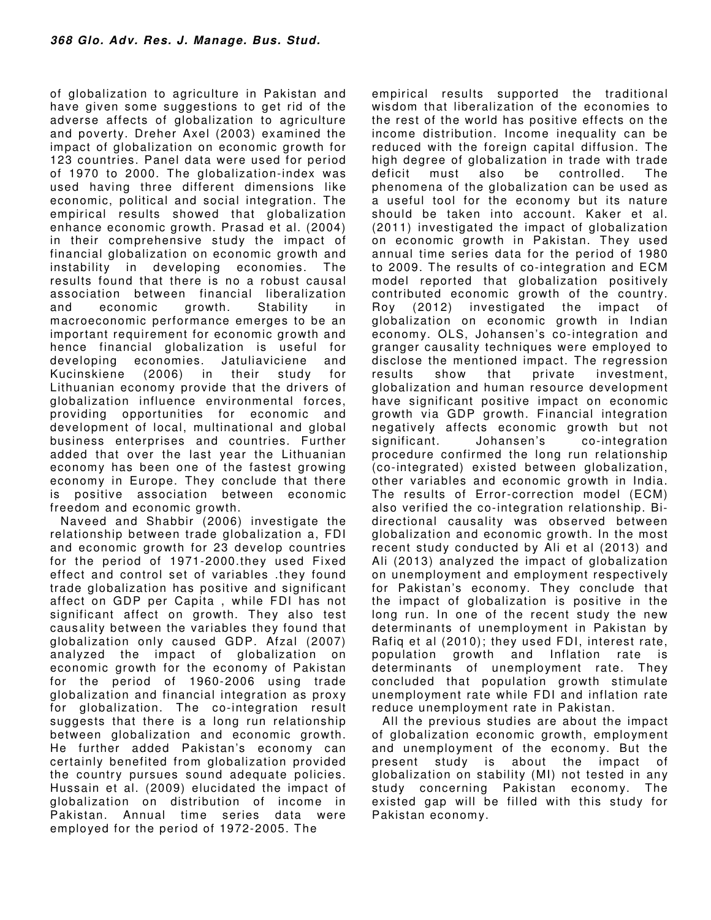of globalization to agriculture in Pakistan and have given some suggestions to get rid of the adverse affects of globalization to agriculture and poverty. Dreher Axel (2003) examined the impact of globalization on economic growth for 123 countries. Panel data were used for period of 1970 to 2000. The globalization-index was used having three different dimensions like economic, political and social integration. The empirical results showed that globalization enhance economic growth. Prasad et al. (2004) in their comprehensive study the impact of financial globalization on economic growth and instability in developing economies. The results found that there is no a robust causal association between financial liberalization and economic growth. Stability in macroeconomic performance emerges to be an important requirement for economic growth and hence financial globalization is useful for developing economies. Jatuliaviciene and Kucinskiene (2006) in their study for Lithuanian economy provide that the drivers of globalization influence environmental forces, providing opportunities for economic and development of local, multinational and global business enterprises and countries. Further added that over the last year the Lithuanian economy has been one of the fastest growing economy in Europe. They conclude that there is positive association between economic freedom and economic growth.

Naveed and Shabbir (2006) investigate the relationship between trade globalization a, FDI and economic growth for 23 develop countries for the period of 1971-2000.they used Fixed effect and control set of variables .they found trade globalization has positive and significant affect on GDP per Capita , while FDI has not significant affect on growth. They also test causality between the variables they found that globalization only caused GDP. Afzal (2007) analyzed the impact of globalization on economic growth for the economy of Pakistan for the period of 1960-2006 using trade globalization and financial integration as proxy for globalization. The co-integration result suggests that there is a long run relationship between globalization and economic growth. He further added Pakistan's economy can certainly benefited from globalization provided the country pursues sound adequate policies. Hussain et al. (2009) elucidated the impact of globalization on distribution of income in Pakistan. Annual time series data were employed for the period of 1972-2005. The

empirical results supported the traditional wisdom that liberalization of the economies to the rest of the world has positive effects on the income distribution. Income inequality can be reduced with the foreign capital diffusion. The high degree of globalization in trade with trade deficit must also be controlled. The phenomena of the globalization can be used as a useful tool for the economy but its nature should be taken into account. Kaker et al. (2011) investigated the impact of globalization on economic growth in Pakistan. They used annual time series data for the period of 1980 to 2009. The results of co-integration and ECM model reported that globalization positively contributed economic growth of the country. Roy (2012) investigated the impact of globalization on economic growth in Indian economy. OLS, Johansen's co-integration and granger causality techniques were employed to disclose the mentioned impact. The regression results show that private investment, globalization and human resource development have significant positive impact on economic growth via GDP growth. Financial integration negatively affects economic growth but not significant. Johansen's co-integration procedure confirmed the long run relationship (co-integrated) existed between globalization, other variables and economic growth in India. The results of Error-correction model (ECM) also verified the co-integration relationship. Bidirectional causality was observed between globalization and economic growth. In the most recent study conducted by Ali et al (2013) and Ali (2013) analyzed the impact of globalization on unemployment and employment respectively for Pakistan's economy. They conclude that the impact of globalization is positive in the long run. In one of the recent study the new determinants of unemployment in Pakistan by Rafiq et al (2010); they used FDI, interest rate, population growth and Inflation rate is determinants of unemployment rate. They concluded that population growth stimulate unemployment rate while FDI and inflation rate reduce unemployment rate in Pakistan.

All the previous studies are about the impact of globalization economic growth, employment and unemployment of the economy. But the present study is about the impact of globalization on stability (MI) not tested in any study concerning Pakistan economy. The existed gap will be filled with this study for Pakistan economy.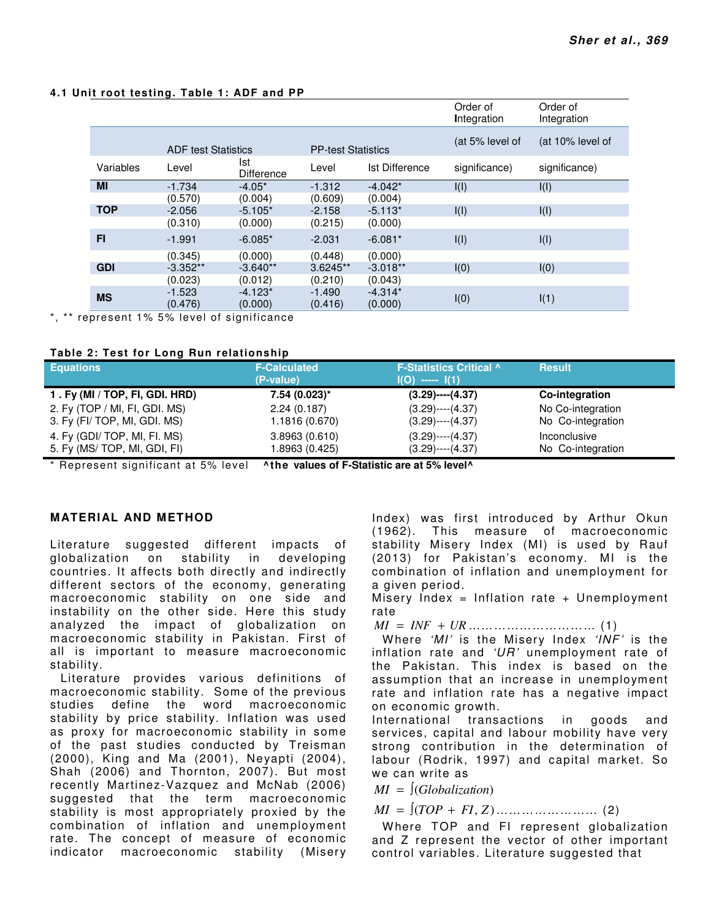|            |                            |                          |                           |                       | Order of<br>Integration | Order of<br>Integration |
|------------|----------------------------|--------------------------|---------------------------|-----------------------|-------------------------|-------------------------|
|            | <b>ADF test Statistics</b> |                          | <b>PP-test Statistics</b> |                       | (at 5% level of         | (at 10% level of        |
| Variables  | Level                      | Ist<br><b>Difference</b> | Level                     | <b>Ist Difference</b> | significance)           | significance)           |
| <b>MI</b>  | $-1.734$                   | $-4.05*$                 | $-1.312$                  | $-4.042*$             | I(I)                    | I(I)                    |
|            | (0.570)                    | (0.004)                  | (0.609)                   | (0.004)               |                         |                         |
| <b>TOP</b> | $-2.056$                   | $-5.105*$                | $-2.158$                  | $-5.113*$             | I(I)                    | I(I)                    |
|            | (0.310)                    | (0.000)                  | (0.215)                   | (0.000)               |                         |                         |
| F1         | $-1.991$                   | $-6.085*$                | $-2.031$                  | $-6.081*$             | I(I)                    | I(I)                    |
|            | (0.345)                    | (0.000)                  | (0.448)                   | (0.000)               |                         |                         |
| <b>GDI</b> | $-3.352**$                 | $-3.640**$               | $3.6245**$                | $-3.018**$            | I(0)                    | I(0)                    |
|            | (0.023)                    | (0.012)                  | (0.210)                   | (0.043)               |                         |                         |
| <b>MS</b>  | $-1.523$                   | $-4.123*$                | $-1.490$                  | $-4.314*$             |                         |                         |
|            | (0.476)                    | (0.000)                  | (0.416)                   | (0.000)               | I(0)                    | I(1)                    |

#### **4.1 Unit root testing. Table 1: ADF and PP**

\*, \*\* represent 1% 5% level of significance

#### **Table 2: Test for Long Run relationship**

| <b>Equations</b>               | <b>F-Calculated</b><br>(P-value) | <b>F-Statistics Critical ^</b><br>$I(O)$ ----- $I(1)$ | <b>Result</b>       |
|--------------------------------|----------------------------------|-------------------------------------------------------|---------------------|
| 1. Fy (MI / TOP, FI, GDI. HRD) | $7.54(0.023)$ *                  | $(3.29)$ ---- $(4.37)$                                | Co-integration      |
| 2. Fy (TOP / MI, FI, GDI. MS)  | 2.24(0.187)                      | $(3.29)$ ---- $(4.37)$                                | No Co-integration   |
| 3. Fy (FI/ TOP, MI, GDI. MS)   | 1.1816 (0.670)                   | $(3.29)$ ---- $(4.37)$                                | No Co-integration   |
| 4. Fy (GDI/ TOP, MI, FI. MS)   | 3.8963(0.610)                    | $(3.29)$ ---- $(4.37)$                                | <i>Inconclusive</i> |
| 5. Fy (MS/ TOP, MI, GDI, FI)   | 1.8963 (0.425)                   | $(3.29)$ ---- $(4.37)$                                | No Co-integration   |

\* Represent significant at 5% level **^the values of F-Statistic are at 5% level^**

### **MATERIAL AND METHOD**

Literature suggested different impacts of globalization on stability in developing countries. It affects both directly and indirectly different sectors of the economy, generating macroeconomic stability on one side and instability on the other side. Here this study analyzed the impact of globalization on macroeconomic stability in Pakistan. First of all is important to measure macroeconomic stability.

Literature provides various definitions of macroeconomic stability. Some of the previous studies define the word macroeconomic stability by price stability. Inflation was used as proxy for macroeconomic stability in some of the past studies conducted by Treisman (2000), King and Ma (2001), Neyapti (2004), Shah (2006) and Thornton, 2007). But most recently Martinez-Vazquez and McNab (2006) suggested that the term macroeconomic stability is most appropriately proxied by the combination of inflation and unemployment rate. The concept of measure of economic indicator macroeconomic stability (Misery

Index) was first introduced by Arthur Okun (1962). This measure of macroeconomic stability Misery Index (MI) is used by Rauf (2013) for Pakistan's economy. MI is the combination of inflation and unemployment for a given period.

Misery Index = Inflation rate + Unemployment rate

*MI* = *INF* + *UR* ………………………… (1)

W here *'MI'* is the Misery Index *'INF'* is the inflation rate and *'UR'* unemployment rate of the Pakistan. This index is based on the assumption that an increase in unemployment rate and inflation rate has a negative impact on economic growth.

International transactions in goods and services, capital and labour mobility have very strong contribution in the determination of labour (Rodrik, 1997) and capital market. So we can write as

*MI* = ∫(*Globalization*)

 $MI = [(TOP + FI, Z) \dots (12)]$ 

Where TOP and FI represent globalization and Z represent the vector of other important control variables. Literature suggested that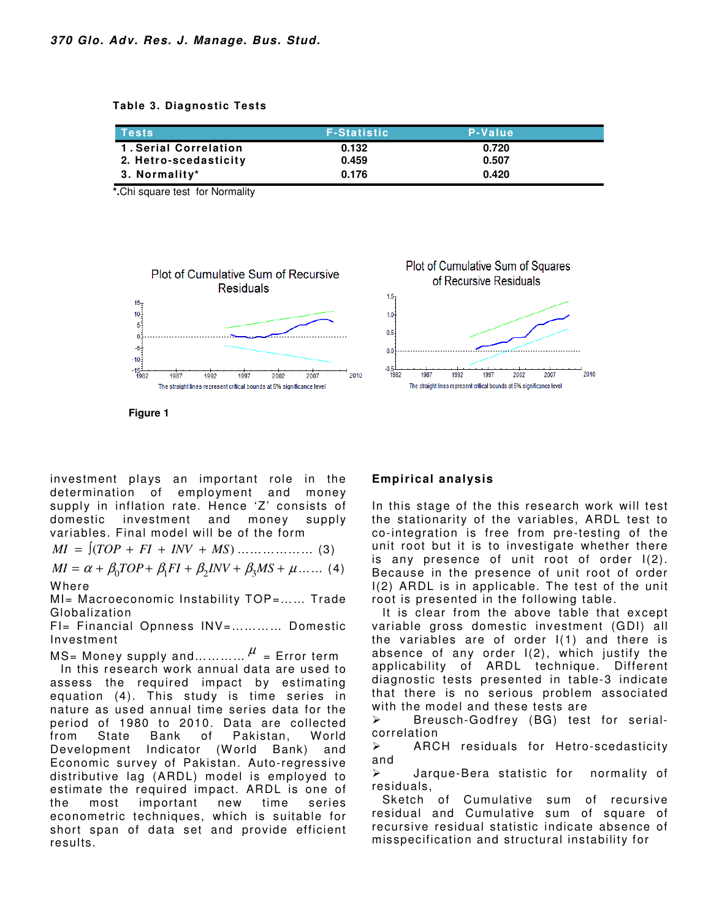**Table 3. Diagnostic Tests** 

| <b>Tests</b>                 | <b>F-Statistic</b> | P-Value |  |
|------------------------------|--------------------|---------|--|
| <b>1. Serial Correlation</b> | 0.132              | 0.720   |  |
| 2. Hetro-scedasticity        | 0.459              | 0.507   |  |
| 3. Normality*                | 0.176              | 0.420   |  |

**\*.**Chi square test for Normality



**Figure 1** 

investment plays an important role in the determination of employment and money supply in inflation rate. Hence 'Z' consists of domestic investment and money supply variables. Final model will be of the form

 $MI = [(TOP + FI + INV + MS) \dots (3)]$ 

$$
MI = \alpha + \beta_0 TOP + \beta_1 FI + \beta_2 INV + \beta_3 MS + \mu \dots \tag{4}
$$

**Where** 

MI= Macroeconomic Instability TOP=…… Trade Globalization

FI= Financial Opnness INV=………… Domestic Investment

MS= Money supply and... $\dots\dots\dotsb$  = Error term In this research work annual data are used to assess the required impact by estimating equation (4). This study is time series in nature as used annual time series data for the period of 1980 to 2010. Data are collected from State Bank of Pakistan, World Development Indicator (World Bank) and Economic survey of Pakistan. Auto-regressive distributive lag (ARDL) model is employed to estimate the required impact. ARDL is one of the most important new time series econometric techniques, which is suitable for short span of data set and provide efficient results.

## **Empirical analysis**

In this stage of the this research work will test the stationarity of the variables, ARDL test to co-integration is free from pre-testing of the unit root but it is to investigate whether there is any presence of unit root of order I(2). Because in the presence of unit root of order I(2) ARDL is in applicable. The test of the unit root is presented in the following table.

2007

2010

It is clear from the above table that except variable gross domestic investment (GDI) all the variables are of order I(1) and there is absence of any order I(2), which justify the applicability of ARDL technique. Different diagnostic tests presented in table-3 indicate that there is no serious problem associated with the model and these tests are

 $\triangleright$  Breusch-Godfrey (BG) test for serialcorrelation

 ARCH residuals for Hetro-scedasticity and

 Jarque-Bera statistic for normality of residuals,

Sketch of Cumulative sum of recursive residual and Cumulative sum of square of recursive residual statistic indicate absence of misspecification and structural instability for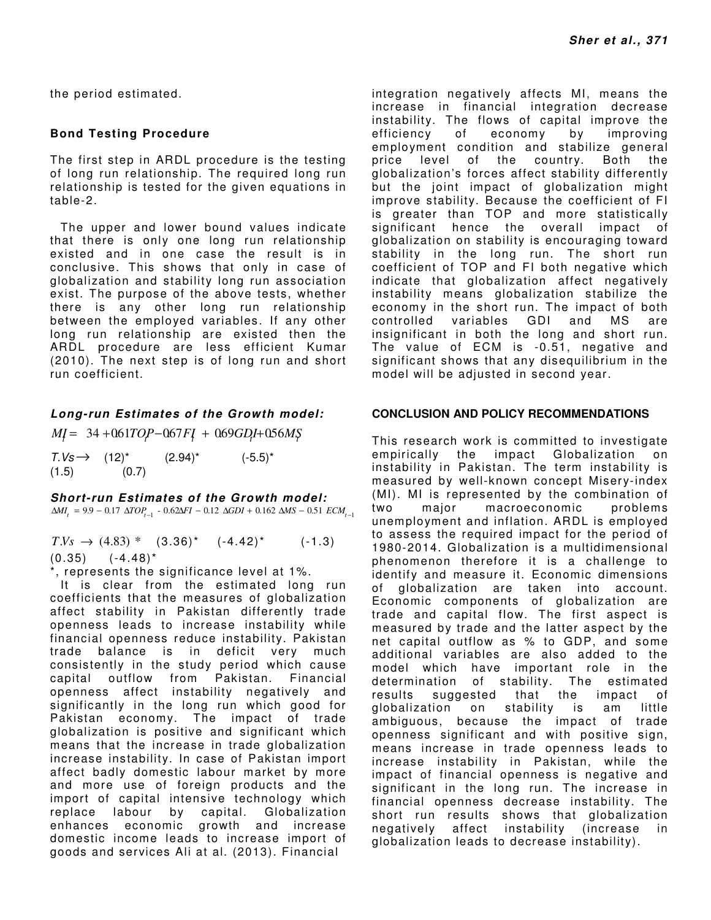the period estimated.

## **Bond Testing Procedure**

The first step in ARDL procedure is the testing of long run relationship. The required long run relationship is tested for the given equations in table-2.

The upper and lower bound values indicate that there is only one long run relationship existed and in one case the result is in conclusive. This shows that only in case of globalization and stability long run association exist. The purpose of the above tests, whether there is any other long run relationship between the employed variables. If any other long run relationship are existed then the ARDL procedure are less efficient Kumar (2010). The next step is of long run and short run coefficient.

## *Long-run Estimates of the Growth model:*

 $M = 34 + 061TOP - 067FI + 069GDI + 056M$$  $T.Vs \rightarrow (12)^*$   $(2.94)^*$   $(-5.5)^*$ 

 $(1.5)$   $(0.7)$ 

#### *Short-run Estimates of the Growth model:*

 $\Delta MI_t = 9.9 - 0.17 \Delta TOP_{t-1} - 0.62\Delta FI - 0.12 \Delta GDI + 0.162 \Delta MS - 0.51 \, ECM_{t-1}$ 

 $T.Vs \rightarrow (4.83) * (3.36)^*$   $(-4.42)^*$  (-1.3)  $(0.35)$   $(-4.48)^*$ 

\*, represents the significance level at 1%.

It is clear from the estimated long run coefficients that the measures of globalization affect stability in Pakistan differently trade openness leads to increase instability while financial openness reduce instability. Pakistan trade balance is in deficit very much consistently in the study period which cause capital outflow from Pakistan. Financial openness affect instability negatively and significantly in the long run which good for Pakistan economy. The impact of trade globalization is positive and significant which means that the increase in trade globalization increase instability. In case of Pakistan import affect badly domestic labour market by more and more use of foreign products and the import of capital intensive technology which replace labour by capital. Globalization enhances economic growth and increase domestic income leads to increase import of goods and services Ali at al. (2013). Financial

integration negatively affects MI, means the increase in financial integration decrease instability. The flows of capital improve the efficiency of economy by improving employment condition and stabilize general price level of the country. Both the globalization's forces affect stability differently but the joint impact of globalization might improve stability. Because the coefficient of FI is greater than TOP and more statistically significant hence the overall impact of globalization on stability is encouraging toward stability in the long run. The short run coefficient of TOP and FI both negative which indicate that globalization affect negatively instability means globalization stabilize the economy in the short run. The impact of both controlled variables GDI and MS are insignificant in both the long and short run. The value of ECM is -0.51, negative and significant shows that any disequilibrium in the model will be adjusted in second year.

## **CONCLUSION AND POLICY RECOMMENDATIONS**

This research work is committed to investigate empirically the impact Globalization on instability in Pakistan. The term instability is measured by well-known concept Misery-index (MI). MI is represented by the combination of two major macroeconomic problems unemployment and inflation. ARDL is employed to assess the required impact for the period of 1980-2014. Globalization is a multidimensional phenomenon therefore it is a challenge to identify and measure it. Economic dimensions of globalization are taken into account. Economic components of globalization are trade and capital flow. The first aspect is measured by trade and the latter aspect by the net capital outflow as % to GDP, and some additional variables are also added to the model which have important role in the determination of stability. The estimated results suggested that the impact of globalization on stability is am little ambiguous, because the impact of trade openness significant and with positive sign, means increase in trade openness leads to increase instability in Pakistan, while the impact of financial openness is negative and significant in the long run. The increase in financial openness decrease instability. The short run results shows that globalization negatively affect instability (increase in globalization leads to decrease instability).